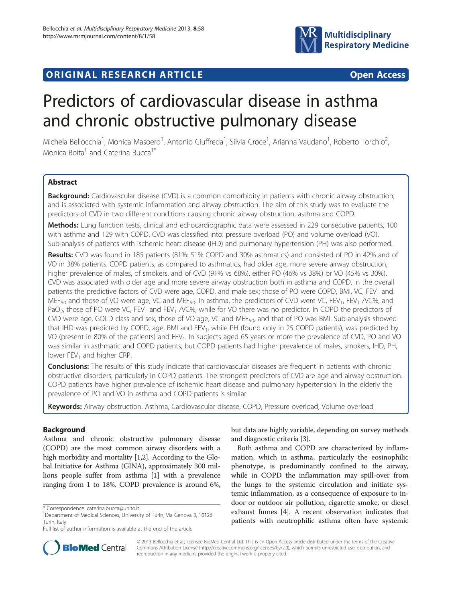

## **ORIGINAL RESEARCH ARTICLE CONSUMING ACCESS**

# Predictors of cardiovascular disease in asthma and chronic obstructive pulmonary disease

Michela Bellocchia<sup>1</sup>, Monica Masoero<sup>1</sup>, Antonio Ciuffreda<sup>1</sup>, Silvia Croce<sup>1</sup>, Arianna Vaudano<sup>1</sup>, Roberto Torchio<sup>2</sup> , Monica Boita<sup>1</sup> and Caterina Bucca<sup>1\*</sup>

## **Abstract**

**Background:** Cardiovascular disease (CVD) is a common comorbidity in patients with chronic airway obstruction, and is associated with systemic inflammation and airway obstruction. The aim of this study was to evaluate the predictors of CVD in two different conditions causing chronic airway obstruction, asthma and COPD.

Methods: Lung function tests, clinical and echocardiographic data were assessed in 229 consecutive patients, 100 with asthma and 129 with COPD. CVD was classified into: pressure overload (PO) and volume overload (VO). Sub-analysis of patients with ischemic heart disease (IHD) and pulmonary hypertension (PH) was also performed.

Results: CVD was found in 185 patients (81%: 51% COPD and 30% asthmatics) and consisted of PO in 42% and of VO in 38% patients. COPD patients, as compared to asthmatics, had older age, more severe airway obstruction, higher prevalence of males, of smokers, and of CVD (91% vs 68%), either PO (46% vs 38%) or VO (45% vs 30%). CVD was associated with older age and more severe airway obstruction both in asthma and COPD. In the overall patients the predictive factors of CVD were age, COPD, and male sex; those of PO were COPD, BMI, VC, FEV<sub>1</sub> and MEF<sub>50</sub> and those of VO were age, VC and MEF<sub>50</sub>. In asthma, the predictors of CVD were VC, FEV<sub>1</sub>, FEV<sub>1</sub> /VC%, and PaO<sub>2</sub>, those of PO were VC, FEV<sub>1</sub> and FEV<sub>1</sub> /VC%, while for VO there was no predictor. In COPD the predictors of CVD were age, GOLD class and sex, those of VO age, VC and MEF50, and that of PO was BMI. Sub-analysis showed that IHD was predicted by COPD, age, BMI and FEV<sub>1</sub>, while PH (found only in 25 COPD patients), was predicted by VO (present in 80% of the patients) and FEV<sub>1</sub>. In subjects aged 65 years or more the prevalence of CVD, PO and VO was similar in asthmatic and COPD patients, but COPD patients had higher prevalence of males, smokers, IHD, PH, lower FEV<sub>1</sub> and higher CRP.

**Conclusions:** The results of this study indicate that cardiovascular diseases are frequent in patients with chronic obstructive disorders, particularly in COPD patients. The strongest predictors of CVD are age and airway obstruction. COPD patients have higher prevalence of ischemic heart disease and pulmonary hypertension. In the elderly the prevalence of PO and VO in asthma and COPD patients is similar.

Keywords: Airway obstruction, Asthma, Cardiovascular disease, COPD, Pressure overload, Volume overload

## Background

Asthma and chronic obstructive pulmonary disease (COPD) are the most common airway disorders with a high morbidity and mortality [\[1,2](#page-9-0)]. According to the Global Initiative for Asthma (GINA), approximately 300 millions people suffer from asthma [\[1](#page-9-0)] with a prevalence ranging from 1 to 18%. COPD prevalence is around 6%,

but data are highly variable, depending on survey methods and diagnostic criteria [\[3\]](#page-9-0).

Both asthma and COPD are characterized by inflammation, which in asthma, particularly the eosinophilic phenotype, is predominantly confined to the airway, while in COPD the inflammation may spill-over from the lungs to the systemic circulation and initiate systemic inflammation, as a consequence of exposure to indoor or outdoor air pollution, cigarette smoke, or diesel exhaust fumes [[4\]](#page-9-0). A recent observation indicates that patients with neutrophilic asthma often have systemic



© 2013 Bellocchia et al.; licensee BioMed Central Ltd. This is an Open Access article distributed under the terms of the Creative Commons Attribution License [\(http://creativecommons.org/licenses/by/2.0\)](http://creativecommons.org/licenses/by/2.0), which permits unrestricted use, distribution, and reproduction in any medium, provided the original work is properly cited.

<sup>\*</sup> Correspondence: [caterina.bucca@unito.it](mailto:caterina.bucca@unito.it) <sup>1</sup>

<sup>&</sup>lt;sup>1</sup>Department of Medical Sciences, University of Turin, Via Genova 3, 10126 Turin, Italy

Full list of author information is available at the end of the article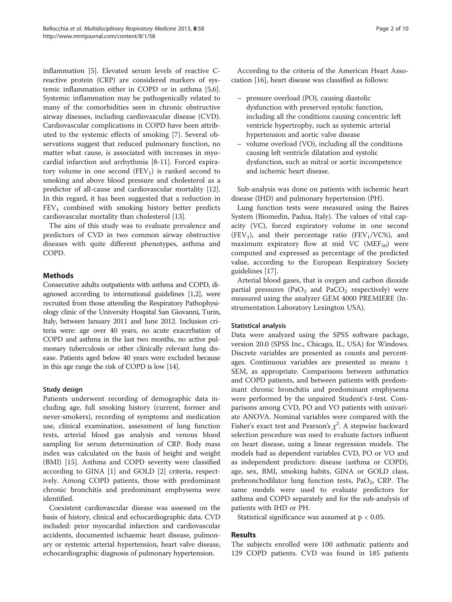inflammation [[5](#page-9-0)]. Elevated serum levels of reactive Creactive protein (CRP) are considered markers of systemic inflammation either in COPD or in asthma [\[5,6](#page-9-0)]. Systemic inflammation may be pathogenically related to many of the comorbidities seen in chronic obstructive airway diseases, including cardiovascular disease (CVD). Cardiovascular complications in COPD have been attributed to the systemic effects of smoking [[7\]](#page-9-0). Several observations suggest that reduced pulmonary function, no matter what cause, is associated with increases in myocardial infarction and arrhythmia [[8](#page-9-0)-[11\]](#page-9-0). Forced expiratory volume in one second  $(FEV_1)$  is ranked second to smoking and above blood pressure and cholesterol as a predictor of all-cause and cardiovascular mortality [\[12](#page-9-0)]. In this regard, it has been suggested that a reduction in  $FEV<sub>1</sub>$  combined with smoking history better predicts cardiovascular mortality than cholesterol [\[13\]](#page-9-0).

The aim of this study was to evaluate prevalence and predictors of CVD in two common airway obstructive diseases with quite different phenotypes, asthma and COPD.

## **Methods**

Consecutive adults outpatients with asthma and COPD, diagnosed according to international guidelines [[1,2](#page-9-0)], were recruited from those attending the Respiratory Pathophysiology clinic of the University Hospital San Giovanni, Turin, Italy, between January 2011 and June 2012. Inclusion criteria were: age over 40 years, no acute exacerbation of COPD and asthma in the last two months, no active pulmonary tuberculosis or other clinically relevant lung disease. Patients aged below 40 years were excluded because in this age range the risk of COPD is low [[14](#page-9-0)].

## Study design

Patients underwent recording of demographic data including age, full smoking history (current, former and never-smokers), recording of symptoms and medication use, clinical examination, assessment of lung function tests, arterial blood gas analysis and venous blood sampling for serum determination of CRP. Body mass index was calculated on the basis of height and weight (BMI) [[15\]](#page-9-0). Asthma and COPD severity were classified according to GINA [[1\]](#page-9-0) and GOLD [[2\]](#page-9-0) criteria, respectively. Among COPD patients, those with predominant chronic bronchitis and predominant emphysema were identified.

Coexistent cardiovascular disease was assessed on the basis of history, clinical and echocardiographic data. CVD included: prior myocardial infarction and cardiovascular accidents, documented ischaemic heart disease, pulmonary or systemic arterial hypertension, heart valve disease, echocardiographic diagnosis of pulmonary hypertension.

According to the criteria of the American Heart Association [\[16](#page-9-0)], heart disease was classified as follows:

- pressure overload (PO), causing diastolic dysfunction with preserved systolic function, including all the conditions causing concentric left ventricle hypertrophy, such as systemic arterial hypertension and aortic valve disease
- volume overload (VO), including all the conditions causing left ventricle dilatation and systolic dysfunction, such as mitral or aortic incompetence and ischemic heart disease.

Sub-analysis was done on patients with ischemic heart disease (IHD) and pulmonary hypertension (PH).

Lung function tests were measured using the Baires System (Biomedin, Padua, Italy). The values of vital capacity (VC), forced expiratory volume in one second (FEV<sub>1</sub>), and their percentage ratio (FEV<sub>1</sub>/VC%), and maximum expiratory flow at mid VC ( $MEF_{50}$ ) were computed and expressed as percentage of the predicted value, according to the European Respiratory Society guidelines [[17\]](#page-9-0).

Arterial blood gases, that is oxygen and carbon dioxide partial pressures (PaO<sub>2</sub> and PaCO<sub>2</sub> respectively) were measured using the analyzer GEM 4000 PREMIERE (Instrumentation Laboratory Lexington USA).

## Statistical analysis

Data were analyzed using the SPSS software package, version 20.0 (SPSS Inc., Chicago, IL, USA) for Windows. Discrete variables are presented as counts and percentages. Continuous variables are presented as means ± SEM, as appropriate. Comparisons between asthmatics and COPD patients, and between patients with predominant chronic bronchitis and predominant emphysema were performed by the unpaired Student's t-test. Comparisons among CVD, PO and VO patients with univariate ANOVA. Nominal variables were compared with the Fisher's exact test and Pearson's  $\chi^2$ . A stepwise backward selection procedure was used to evaluate factors influent on heart disease, using a linear regression models. The models had as dependent variables CVD, PO or VO and as independent predictors: disease (asthma or COPD), age, sex, BMI, smoking habits, GINA or GOLD class, prebronchodilator lung function tests,  $PaO<sub>2</sub>$ , CRP. The same models were used to evaluate predictors for asthma and COPD separately and for the sub-analysis of patients with IHD or PH.

Statistical significance was assumed at  $p < 0.05$ .

## Results

The subjects enrolled were 100 asthmatic patients and 129 COPD patients. CVD was found in 185 patients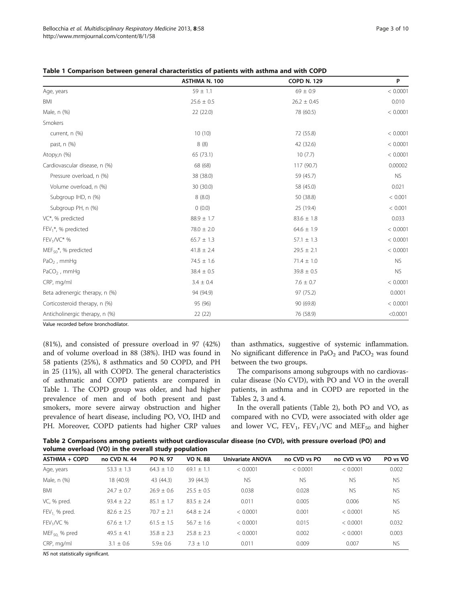|                                   | ASTHMA N. 100  | <b>COPD N. 129</b> | P         |
|-----------------------------------|----------------|--------------------|-----------|
| Age, years                        | $59 \pm 1.1$   | $69 \pm 0.9$       | < 0.0001  |
| <b>BMI</b>                        | $25.6 \pm 0.5$ | $26.2 \pm 0.45$    | 0.010     |
| Male, n (%)                       | 22 (22.0)      | 78 (60.5)          | < 0.0001  |
| Smokers                           |                |                    |           |
| current, n (%)                    | 10(10)         | 72 (55.8)          | < 0.0001  |
| past, n (%)                       | 8(8)           | 42 (32.6)          | < 0.0001  |
| Atopy,n (%)                       | 65 (73.1)      | 10(7.7)            | < 0.0001  |
| Cardiovascular disease, n (%)     | 68 (68)        | 117 (90.7)         | 0.00002   |
| Pressure overload, n (%)          | 38 (38.0)      | 59 (45.7)          | <b>NS</b> |
| Volume overload, n (%)            | 30 (30.0)      | 58 (45.0)          | 0.021     |
| Subgroup IHD, n (%)               | 8(8.0)         | 50 (38.8)          | < 0.001   |
| Subgroup PH, n (%)                | 0(0.0)         | 25 (19.4)          | < 0.001   |
| VC*, % predicted                  | $88.9 \pm 1.7$ | $83.6 \pm 1.8$     | 0.033     |
| $FEV1$ <sup>*</sup> , % predicted | $78.0 \pm 2.0$ | $64.6 \pm 1.9$     | < 0.0001  |
| $FEV1/V C* %$                     | $65.7 \pm 1.3$ | $57.1 \pm 1.3$     | < 0.0001  |
| $MEF_{50}$ *, % predicted         | $41.8 \pm 2.4$ | $29.5 \pm 2.1$     | < 0.0001  |
| $PaO2$ , mmHq                     | $74.5 \pm 1.6$ | $71.4 \pm 1.0$     | <b>NS</b> |
| $PaCO2$ , mmHq                    | $38.4 \pm 0.5$ | $39.8 \pm 0.5$     | <b>NS</b> |
| CRP, mg/ml                        | $3.4 \pm 0.4$  | $7.6 \pm 0.7$      | < 0.0001  |
| Beta adrenergic therapy, n (%)    | 94 (94.9)      | 97 (75.2)          | 0.0001    |
| Corticosteroid therapy, n (%)     | 95 (96)        | 90 (69.8)          | < 0.0001  |
| Anticholinergic therapy, n (%)    | 22 (22)        | 76 (58.9)          | < 0.0001  |

<span id="page-2-0"></span>

|  |  |  | Table 1 Comparison between general characteristics of patients with asthma and with COPD |  |  |  |
|--|--|--|------------------------------------------------------------------------------------------|--|--|--|
|--|--|--|------------------------------------------------------------------------------------------|--|--|--|

Value recorded before bronchodilator.

(81%), and consisted of pressure overload in 97 (42%) and of volume overload in 88 (38%). IHD was found in 58 patients (25%), 8 asthmatics and 50 COPD, and PH in 25 (11%), all with COPD. The general characteristics of asthmatic and COPD patients are compared in Table 1. The COPD group was older, and had higher prevalence of men and of both present and past smokers, more severe airway obstruction and higher prevalence of heart disease, including PO, VO, IHD and PH. Moreover, COPD patients had higher CRP values

than asthmatics, suggestive of systemic inflammation. No significant difference in  $PaO<sub>2</sub>$  and  $PaCO<sub>2</sub>$  was found between the two groups.

The comparisons among subgroups with no cardiovascular disease (No CVD), with PO and VO in the overall patients, in asthma and in COPD are reported in the Tables 2, [3](#page-3-0) and [4](#page-3-0).

In the overall patients (Table 2), both PO and VO, as compared with no CVD, were associated with older age and lower VC,  $FEV_1$ ,  $FEV_1/VC$  and  $MEF_{50}$  and higher

Table 2 Comparisons among patients without cardiovascular disease (no CVD), with pressure overload (PO) and volume overload (VO) in the overall study population

| <b>ASTHMA + COPD</b> | no CVD N. 44   | PO N. 97       | <b>VO N.88</b> | Univariate ANOVA | no CVD vs PO | no CVD vs VO | PO vs VO  |
|----------------------|----------------|----------------|----------------|------------------|--------------|--------------|-----------|
| Age, years           | $53.3 \pm 1.3$ | $64.3 \pm 1.0$ | $69.1 + 1.1$   | < 0.0001         | < 0.0001     | < 0.0001     | 0.002     |
| Male, n (%)          | 18 (40.9)      | 43 (44.3)      | 39 (44.3)      | <b>NS</b>        | <b>NS</b>    | <b>NS</b>    | <b>NS</b> |
| BMI                  | $24.7 \pm 0.7$ | $76.9 + 0.6$   | $25.5 + 0.5$   | 0.038            | 0.028        | <b>NS</b>    | <b>NS</b> |
| VC, % pred.          | $93.4 \pm 2.2$ | $85.1 \pm 1.7$ | $83.5 + 2.4$   | 0.011            | 0.005        | 0.006        | <b>NS</b> |
| $FEV_1$ % pred.      | $82.6 \pm 2.5$ | $70.7 \pm 2.1$ | $64.8 \pm 2.4$ | < 0.0001         | 0.001        | < 0.0001     | <b>NS</b> |
| $FEV1/VC$ %          | $67.6 + 1.7$   | $61.5 \pm 1.5$ | $56.7 + 1.6$   | < 0.0001         | 0.015        | < 0.0001     | 0.032     |
| $MEF50$ , % pred     | $49.5 + 4.1$   | $35.8 \pm 2.3$ | $25.8 \pm 2.3$ | < 0.0001         | 0.002        | < 0.0001     | 0.003     |
| CRP, mg/ml           | $3.1 \pm 0.6$  | $5.9 \pm 0.6$  | $7.3 + 1.0$    | 0.011            | 0.009        | 0.007        | <b>NS</b> |

NS not statistically significant.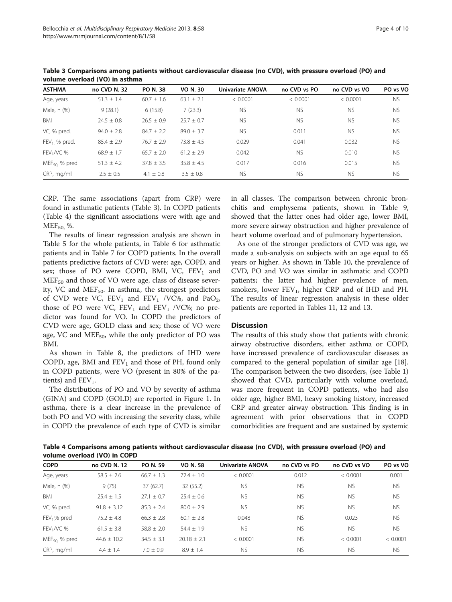| <b>ASTHMA</b>    | no CVD N. 32   | <b>PO N.38</b> | <b>VO N. 30</b> | <b>Univariate ANOVA</b> | no CVD vs PO | no CVD vs VO | PO vs VO  |
|------------------|----------------|----------------|-----------------|-------------------------|--------------|--------------|-----------|
| Age, years       | $51.3 \pm 1.4$ | $60.7 \pm 1.6$ | $63.1 \pm 2.1$  | < 0.0001                | < 0.0001     | < 0.0001     | <b>NS</b> |
| Male, n (%)      | 9(28.1)        | 6(15.8)        | 7(23.3)         | <b>NS</b>               | <b>NS</b>    | <b>NS</b>    | <b>NS</b> |
| <b>BMI</b>       | $24.5 \pm 0.8$ | $26.5 \pm 0.9$ | $25.7 + 0.7$    | <b>NS</b>               | <b>NS</b>    | <b>NS</b>    | <b>NS</b> |
| VC, % pred.      | $94.0 \pm 2.8$ | $84.7 \pm 2.2$ | $89.0 \pm 3.7$  | <b>NS</b>               | 0.011        | <b>NS</b>    | <b>NS</b> |
| $FEV_1$ % pred.  | $85.4 \pm 2.9$ | $76.7 \pm 2.9$ | $73.8 \pm 4.5$  | 0.029                   | 0.041        | 0.032        | <b>NS</b> |
| $FEV1/VC$ %      | $68.9 + 1.7$   | $65.7 \pm 2.0$ | $61.2 + 2.9$    | 0.042                   | <b>NS</b>    | 0.010        | <b>NS</b> |
| $MEF50$ , % pred | $51.3 \pm 4.2$ | $37.8 \pm 3.5$ | $35.8 \pm 4.5$  | 0.017                   | 0.016        | 0.015        | <b>NS</b> |
| CRP, mg/ml       | $2.5 + 0.5$    | $4.1 \pm 0.8$  | $3.5 + 0.8$     | <b>NS</b>               | <b>NS</b>    | <b>NS</b>    | <b>NS</b> |

<span id="page-3-0"></span>Table 3 Comparisons among patients without cardiovascular disease (no CVD), with pressure overload (PO) and volume overload (VO) in asthma

CRP. The same associations (apart from CRP) were found in asthmatic patients (Table 3). In COPD patients (Table 4) the significant associations were with age and  $MEF_{50}$  %.

The results of linear regression analysis are shown in Table [5](#page-4-0) for the whole patients, in Table [6](#page-4-0) for asthmatic patients and in Table [7](#page-5-0) for COPD patients. In the overall patients predictive factors of CVD were: age, COPD, and sex; those of PO were COPD, BMI, VC,  $FEV<sub>1</sub>$  and  $MEF_{50}$  and those of VO were age, class of disease severity, VC and  $MEF<sub>50</sub>$ . In asthma, the strongest predictors of CVD were VC,  $FEV_1$  and  $FEV_1$  /VC%, and PaO<sub>2</sub>, those of PO were VC,  $FEV_1$  and  $FEV_1$  /VC%; no predictor was found for VO. In COPD the predictors of CVD were age, GOLD class and sex; those of VO were age, VC and MEF<sub>50</sub>, while the only predictor of PO was BMI.

As shown in Table [8](#page-5-0), the predictors of IHD were COPD, age, BMI and  $FEV<sub>1</sub>$  and those of PH, found only in COPD patients, were VO (present in 80% of the patients) and  $FEV_1$ .

The distributions of PO and VO by severity of asthma (GINA) and COPD (GOLD) are reported in Figure [1](#page-6-0). In asthma, there is a clear increase in the prevalence of both PO and VO with increasing the severity class, while in COPD the prevalence of each type of CVD is similar

in all classes. The comparison between chronic bronchitis and emphysema patients, shown in Table [9](#page-6-0), showed that the latter ones had older age, lower BMI, more severe airway obstruction and higher prevalence of heart volume overload and of pulmonary hypertension.

As one of the stronger predictors of CVD was age, we made a sub-analysis on subjects with an age equal to 65 years or higher. As shown in Table [10](#page-7-0), the prevalence of CVD, PO and VO was similar in asthmatic and COPD patients; the latter had higher prevalence of men, smokers, lower  $FEV_1$ , higher CRP and of IHD and PH. The results of linear regression analysis in these older patients are reported in Tables [11,](#page-7-0) [12](#page-8-0) and [13](#page-8-0).

## **Discussion**

The results of this study show that patients with chronic airway obstructive disorders, either asthma or COPD, have increased prevalence of cardiovascular diseases as compared to the general population of similar age [\[18](#page-9-0)]. The comparison between the two disorders, (see Table [1](#page-2-0)) showed that CVD, particularly with volume overload, was more frequent in COPD patients, who had also older age, higher BMI, heavy smoking history, increased CRP and greater airway obstruction. This finding is in agreement with prior observations that in COPD comorbidities are frequent and are sustained by systemic

Table 4 Comparisons among patients without cardiovascular disease (no CVD), with pressure overload (PO) and volume overload (VO) in COPD

| <b>COPD</b>       | no CVD N. 12    | PO N. 59       | <b>VO N. 58</b> | <b>Univariate ANOVA</b> | no CVD vs PO | no CVD vs VO | PO vs VO  |
|-------------------|-----------------|----------------|-----------------|-------------------------|--------------|--------------|-----------|
| Age, years        | $58.5 \pm 2.6$  | $66.7 \pm 1.3$ | $72.4 \pm 1.0$  | < 0.0001                | 0.012        | < 0.0001     | 0.001     |
| Male, n (%)       | 9(75)           | 37 (62.7)      | 32(55.2)        | <b>NS</b>               | <b>NS</b>    | <b>NS</b>    | <b>NS</b> |
| BMI               | $25.4 \pm 1.5$  | $27.1 \pm 0.7$ | $25.4 \pm 0.6$  | <b>NS</b>               | <b>NS</b>    | <b>NS</b>    | <b>NS</b> |
| VC, % pred.       | $91.8 \pm 3.12$ | $85.3 \pm 2.4$ | $80.0 \pm 2.9$  | <b>NS</b>               | <b>NS</b>    | <b>NS</b>    | <b>NS</b> |
| $FEV1$ % pred     | $75.2 \pm 4.8$  | $66.3 \pm 2.8$ | $60.1 \pm 2.8$  | 0.048                   | <b>NS</b>    | 0.023        | <b>NS</b> |
| $FEV1/VC$ %       | $61.5 \pm 3.8$  | $58.8 \pm 2.0$ | $54.4 + 1.9$    | <b>NS</b>               | <b>NS</b>    | <b>NS</b>    | <b>NS</b> |
| $MEF_{50}$ % pred | $44.6 \pm 10.2$ | $34.5 \pm 3.1$ | $20.18 \pm 2.1$ | < 0.0001                | <b>NS</b>    | < 0.0001     | < 0.0001  |
| CRP, mg/ml        | $4.4 \pm 1.4$   | $7.0 \pm 0.9$  | $8.9 \pm 1.4$   | <b>NS</b>               | <b>NS</b>    | <b>NS</b>    | <b>NS</b> |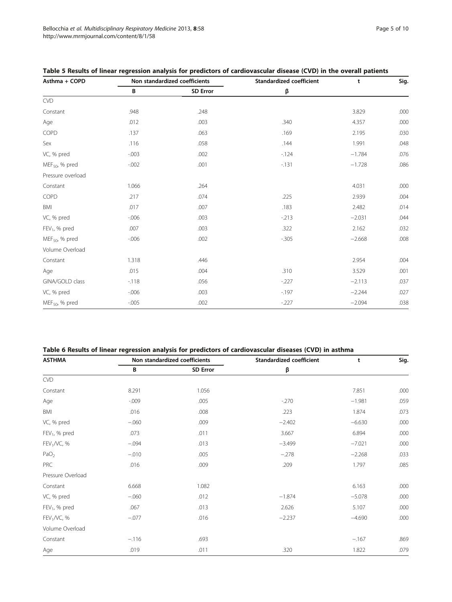| Asthma + COPD              | Non standardized coefficients |                 | <b>Standardized coefficient</b> | t        | Sig. |
|----------------------------|-------------------------------|-----------------|---------------------------------|----------|------|
|                            | B                             | <b>SD Error</b> | β                               |          |      |
| <b>CVD</b>                 |                               |                 |                                 |          |      |
| Constant                   | .948                          | .248            |                                 | 3.829    | .000 |
| Age                        | .012                          | .003            | .340                            | 4.357    | .000 |
| COPD                       | .137                          | .063            | .169                            | 2.195    | .030 |
| Sex                        | .116                          | .058            | .144                            | 1.991    | .048 |
| VC, % pred                 | $-0.003$                      | .002            | $-124$                          | $-1.784$ | .076 |
| MEF <sub>50</sub> , % pred | $-0.002$                      | .001            | $-131$                          | $-1.728$ | .086 |
| Pressure overload          |                               |                 |                                 |          |      |
| Constant                   | 1.066                         | .264            |                                 | 4.031    | .000 |
| COPD                       | .217                          | .074            | .225                            | 2.939    | .004 |
| <b>BMI</b>                 | .017                          | .007            | .183                            | 2.482    | .014 |
| VC, % pred                 | $-0.006$                      | .003            | $-213$                          | $-2.031$ | .044 |
| $FEV1$ , % pred            | .007                          | .003            | .322                            | 2.162    | .032 |
| $MEF_{50}$ , % pred        | $-0.006$                      | .002            | $-0.305$                        | $-2.668$ | .008 |
| Volume Overload            |                               |                 |                                 |          |      |
| Constant                   | 1.318                         | .446            |                                 | 2.954    | .004 |
| Age                        | .015                          | .004            | .310                            | 3.529    | .001 |
| GINA/GOLD class            | $-118$                        | .056            | $-227$                          | $-2.113$ | .037 |
| VC, % pred                 | $-0.006$                      | .003            | $-197$                          | $-2.244$ | .027 |
| MEF <sub>50</sub> , % pred | $-0.005$                      | .002            | $-227$                          | $-2.094$ | .038 |

<span id="page-4-0"></span>

| Table 5 Results of linear regression analysis for predictors of cardiovascular disease (CVD) in the overall patients |  |  |
|----------------------------------------------------------------------------------------------------------------------|--|--|
|----------------------------------------------------------------------------------------------------------------------|--|--|

## Table 6 Results of linear regression analysis for predictors of cardiovascular diseases (CVD) in asthma

| <b>ASTHMA</b>           | Non standardized coefficients |                 | <b>Standardized coefficient</b> | t        | Sig. |
|-------------------------|-------------------------------|-----------------|---------------------------------|----------|------|
|                         | В                             | <b>SD Error</b> | β                               |          |      |
| CVD                     |                               |                 |                                 |          |      |
| Constant                | 8.291                         | 1.056           |                                 | 7.851    | .000 |
| Age                     | $-0.009$                      | .005            | $-270$                          | $-1.981$ | .059 |
| BMI                     | .016                          | .008            | .223                            | 1.874    | .073 |
| VC, % pred              | $-.060$                       | .009            | $-2.402$                        | $-6.630$ | .000 |
| $FEV1$ , % pred         | .073                          | .011            | 3.667                           | 6.894    | .000 |
| FEV <sub>1</sub> /VC, % | $-.094$                       | .013            | $-3.499$                        | $-7.021$ | .000 |
| PaO <sub>2</sub>        | $-.010$                       | .005            | $-.278$                         | $-2.268$ | .033 |
| PRC                     | .016                          | .009            | .209                            | 1.797    | .085 |
| Pressure Overload       |                               |                 |                                 |          |      |
| Constant                | 6.668                         | 1.082           |                                 | 6.163    | .000 |
| VC, % pred              | $-.060$                       | .012            | $-1.874$                        | $-5.078$ | .000 |
| $FEV1$ , % pred         | .067                          | .013            | 2.626                           | 5.107    | .000 |
| FEV <sub>1</sub> /VC, % | $-.077$                       | .016            | $-2.237$                        | $-4.690$ | .000 |
| Volume Overload         |                               |                 |                                 |          |      |
| Constant                | $-.116$                       | .693            |                                 | $-.167$  | .869 |
| Age                     | .019                          | .011            | .320                            | 1.822    | .079 |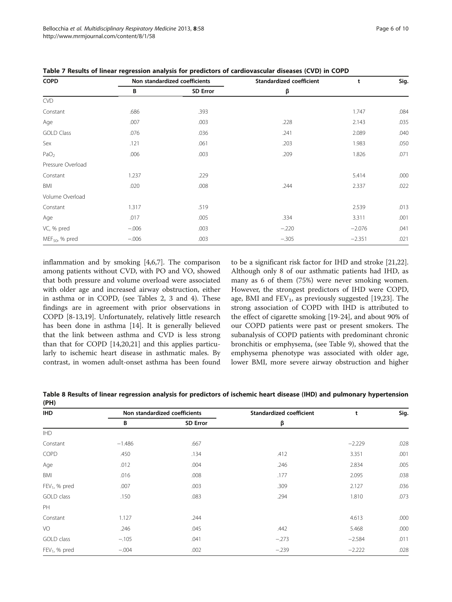| <b>COPD</b>         |         | Non standardized coefficients | Standardized coefficient | t        | Sig. |
|---------------------|---------|-------------------------------|--------------------------|----------|------|
|                     | В       | <b>SD Error</b>               | β                        |          |      |
| <b>CVD</b>          |         |                               |                          |          |      |
| Constant            | .686    | .393                          |                          | 1.747    | .084 |
| Age                 | .007    | .003                          | .228                     | 2.143    | .035 |
| <b>GOLD Class</b>   | .076    | .036                          | .241                     | 2.089    | .040 |
| Sex                 | .121    | .061                          | .203                     | 1.983    | .050 |
| PaO <sub>2</sub>    | .006    | .003                          | .209                     | 1.826    | .071 |
| Pressure Overload   |         |                               |                          |          |      |
| Constant            | 1.237   | .229                          |                          | 5.414    | .000 |
| BMI                 | .020    | .008                          | .244                     | 2.337    | .022 |
| Volume Overload     |         |                               |                          |          |      |
| Constant            | 1.317   | .519                          |                          | 2.539    | .013 |
| Age                 | .017    | .005                          | .334                     | 3.311    | .001 |
| VC, % pred          | $-.006$ | .003                          | $-.220$                  | $-2.076$ | .041 |
| $MEF_{50}$ , % pred | $-.006$ | .003                          | $-.305$                  | $-2.351$ | .021 |

<span id="page-5-0"></span>Table 7 Results of linear regression analysis for predictors of cardiovascular diseases (CVD) in COPD

inflammation and by smoking [[4,6,7\]](#page-9-0). The comparison among patients without CVD, with PO and VO, showed that both pressure and volume overload were associated with older age and increased airway obstruction, either in asthma or in COPD, (see Tables [2](#page-2-0), [3](#page-3-0) and [4\)](#page-3-0). These findings are in agreement with prior observations in COPD [[8-13,19](#page-9-0)]. Unfortunately, relatively little research has been done in asthma [[14\]](#page-9-0). It is generally believed that the link between asthma and CVD is less strong than that for COPD [\[14,20,21\]](#page-9-0) and this applies particularly to ischemic heart disease in asthmatic males. By contrast, in women adult-onset asthma has been found

to be a significant risk factor for IHD and stroke [\[21,22](#page-9-0)]. Although only 8 of our asthmatic patients had IHD, as many as 6 of them (75%) were never smoking women. However, the strongest predictors of IHD were COPD, age, BMI and  $FEV_1$ , as previously suggested [\[19,23\]](#page-9-0). The strong association of COPD with IHD is attributed to the effect of cigarette smoking [\[19](#page-9-0)-[24\]](#page-9-0), and about 90% of our COPD patients were past or present smokers. The subanalysis of COPD patients with predominant chronic bronchitis or emphysema, (see Table [9\)](#page-6-0), showed that the emphysema phenotype was associated with older age, lower BMI, more severe airway obstruction and higher

Table 8 Results of linear regression analysis for predictors of ischemic heart disease (IHD) and pulmonary hypertension (PH)

| <b>IHD</b>                |          | Non standardized coefficients | Standardized coefficient | t        | Sig. |
|---------------------------|----------|-------------------------------|--------------------------|----------|------|
|                           | B        | <b>SD Error</b>               | β                        |          |      |
| <b>IHD</b>                |          |                               |                          |          |      |
| Constant                  | $-1.486$ | .667                          |                          | $-2.229$ | .028 |
| COPD                      | .450     | .134                          | .412                     | 3.351    | .001 |
| Age                       | .012     | .004                          | .246                     | 2.834    | .005 |
| BMI                       | .016     | .008                          | .177                     | 2.095    | .038 |
| FEV <sub>1</sub> , % pred | .007     | .003                          | .309                     | 2.127    | .036 |
| GOLD class                | .150     | .083                          | .294                     | 1.810    | .073 |
| PH                        |          |                               |                          |          |      |
| Constant                  | 1.127    | .244                          |                          | 4.613    | .000 |
| VO                        | .246     | .045                          | .442                     | 5.468    | .000 |
| GOLD class                | $-.105$  | .041                          | $-.273$                  | $-2.584$ | .011 |
| $FEV1$ , % pred           | $-.004$  | .002                          | $-.239$                  | $-2.222$ | .028 |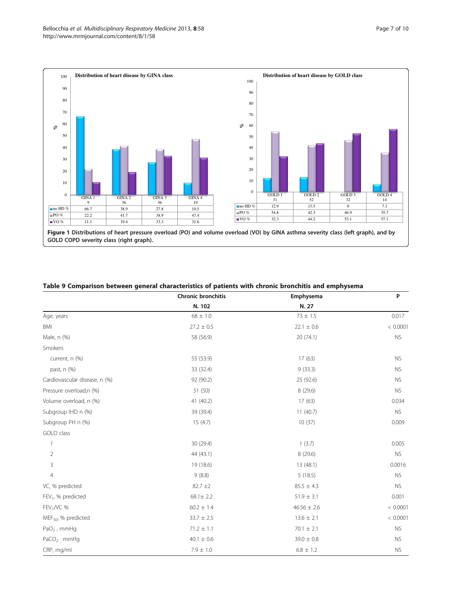<span id="page-6-0"></span>

| Table 9 Comparison between general characteristics of patients with chronic bronchitis and emphysema |  |  |  |
|------------------------------------------------------------------------------------------------------|--|--|--|
|                                                                                                      |  |  |  |

|                                 | Chronic bronchitis | Emphysema        | P         |
|---------------------------------|--------------------|------------------|-----------|
|                                 | N. 102             | N. 27            |           |
| Age, years                      | $68 \pm 1.0$       | $73 \pm 1.5$     | 0.017     |
| BMI                             | $27.2 \pm 0.5$     | $22.1\,\pm\,0.6$ | < 0.0001  |
| Male, n (%)                     | 58 (56.9)          | 20 (74.1)        | <b>NS</b> |
| Smokers                         |                    |                  |           |
| current, n (%)                  | 55 (53.9)          | 17(63)           | <b>NS</b> |
| past, n (%)                     | 33 (32.4)          | 9(33.3)          | <b>NS</b> |
| Cardiovascular disease, n (%)   | 92 (90.2)          | 25 (92.6)        | <b>NS</b> |
| Pressure overload,n (%)         | 51 (50)            | 8 (29.6)         | <b>NS</b> |
| Volume overload, n (%)          | 41 (40.2)          | 17(63)           | 0.034     |
| Subgroup IHD n (%)              | 39 (39.4)          | 11(40.7)         | <b>NS</b> |
| Subgroup PH n (%)               | 15(4.7)            | 10(37)           | 0.009     |
| GOLD class                      |                    |                  |           |
| 1                               | 30 (29.4)          | 1(3.7)           | 0.005     |
| $\overline{2}$                  | 44 (43.1)          | 8 (29.6)         | <b>NS</b> |
| 3                               | 19 (18.6)          | 13 (48.1)        | 0.0016    |
| $\overline{4}$                  | 9(8.8)             | 5(18.5)          | <b>NS</b> |
| VC, % predicted                 | $82.7 \pm 2$       | $85.5 \pm 4.3$   | <b>NS</b> |
| $FEV1$ , % predicted            | $68.1 \pm 2.2$     | $51.9\pm3.1$     | 0.001     |
| $FEV1/VC$ %                     | $60.2 \pm 1.4$     | $46.56 \pm 2.6$  | < 0.0001  |
| MEF <sub>50</sub> , % predicted | $33.7 \pm 2.5$     | $13.6 \pm 2.1$   | < 0.0001  |
| $PaO2$ , mmHg                   | $71.2 \pm 1.1$     | $70.1 \pm 2.1$   | <b>NS</b> |
| $PaCO2$ , mmHg                  | $40.1\,\pm\,0.6$   | $39.0\,\pm\,0.8$ | <b>NS</b> |
| CRP, mg/ml                      | $7.9 \pm 1.0$      | $6.8 \pm 1.2$    | <b>NS</b> |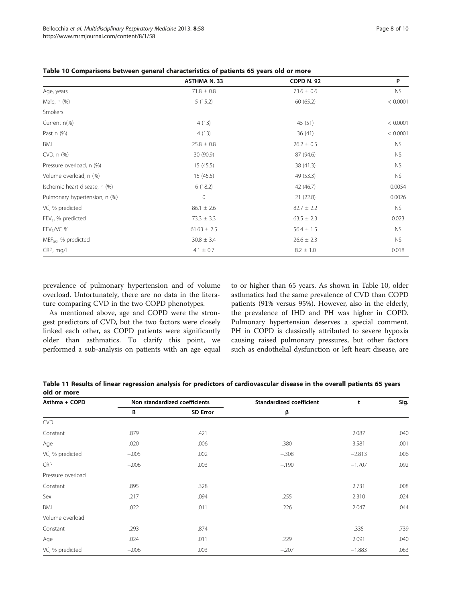|                                 | <b>ASTHMA N. 33</b> | <b>COPD N. 92</b> | P         |
|---------------------------------|---------------------|-------------------|-----------|
| Age, years                      | $71.8 \pm 0.8$      | $73.6 \pm 0.6$    | <b>NS</b> |
| Male, n (%)                     | 5(15.2)             | 60 (65.2)         | < 0.0001  |
| Smokers                         |                     |                   |           |
| Current n(%)                    | 4(13)               | 45 (51)           | < 0.0001  |
| Past $n$ $(\%)$                 | 4(13)               | 36(41)            | < 0.0001  |
| BMI                             | $25.8 \pm 0.8$      | $26.2 \pm 0.5$    | <b>NS</b> |
| CVD, n (%)                      | 30 (90.9)           | 87 (94.6)         | <b>NS</b> |
| Pressure overload, n (%)        | 15(45.5)            | 38 (41.3)         | <b>NS</b> |
| Volume overload, n (%)          | 15(45.5)            | 49 (53.3)         | <b>NS</b> |
| Ischemic heart disease, n (%)   | 6(18.2)             | 42 (46.7)         | 0.0054    |
| Pulmonary hypertension, n (%)   | $\mathbf{0}$        | 21(22.8)          | 0.0026    |
| VC, % predicted                 | $86.1 \pm 2.6$      | $82.7 \pm 2.2$    | NS.       |
| $FEV1$ , % predicted            | $73.3 \pm 3.3$      | $63.5 \pm 2.3$    | 0.023     |
| $FEV1/VC$ %                     | $61.63 \pm 2.5$     | $56.4 \pm 1.5$    | <b>NS</b> |
| MEF <sub>50</sub> , % predicted | $30.8 \pm 3.4$      | $26.6 \pm 2.3$    | <b>NS</b> |
| CRP, mg/l                       | $4.1 \pm 0.7$       | $8.2 \pm 1.0$     | 0.018     |

<span id="page-7-0"></span>Table 10 Comparisons between general characteristics of patients 65 years old or more

prevalence of pulmonary hypertension and of volume overload. Unfortunately, there are no data in the literature comparing CVD in the two COPD phenotypes.

As mentioned above, age and COPD were the strongest predictors of CVD, but the two factors were closely linked each other, as COPD patients were significantly older than asthmatics. To clarify this point, we performed a sub-analysis on patients with an age equal

to or higher than 65 years. As shown in Table 10, older asthmatics had the same prevalence of CVD than COPD patients (91% versus 95%). However, also in the elderly, the prevalence of IHD and PH was higher in COPD. Pulmonary hypertension deserves a special comment. PH in COPD is classically attributed to severe hypoxia causing raised pulmonary pressures, but other factors such as endothelial dysfunction or left heart disease, are

Table 11 Results of linear regression analysis for predictors of cardiovascular disease in the overall patients 65 years old or more

| Asthma + COPD     | Non standardized coefficients |                 | Standardized coefficient | t        | Sig. |
|-------------------|-------------------------------|-----------------|--------------------------|----------|------|
|                   | В                             | <b>SD Error</b> | β                        |          |      |
| <b>CVD</b>        |                               |                 |                          |          |      |
| Constant          | .879                          | .421            |                          | 2.087    | .040 |
| Age               | .020                          | .006            | .380                     | 3.581    | .001 |
| VC, % predicted   | $-.005$                       | .002            | $-.308$                  | $-2.813$ | .006 |
| CRP               | $-.006$                       | .003            | $-.190$                  | $-1.707$ | .092 |
| Pressure overload |                               |                 |                          |          |      |
| Constant          | .895                          | .328            |                          | 2.731    | .008 |
| Sex               | .217                          | .094            | .255                     | 2.310    | .024 |
| BMI               | .022                          | .011            | .226                     | 2.047    | .044 |
| Volume overload   |                               |                 |                          |          |      |
| Constant          | .293                          | .874            |                          | .335     | .739 |
| Age               | .024                          | .011            | .229                     | 2.091    | .040 |
| VC, % predicted   | $-.006$                       | .003            | $-.207$                  | $-1.883$ | .063 |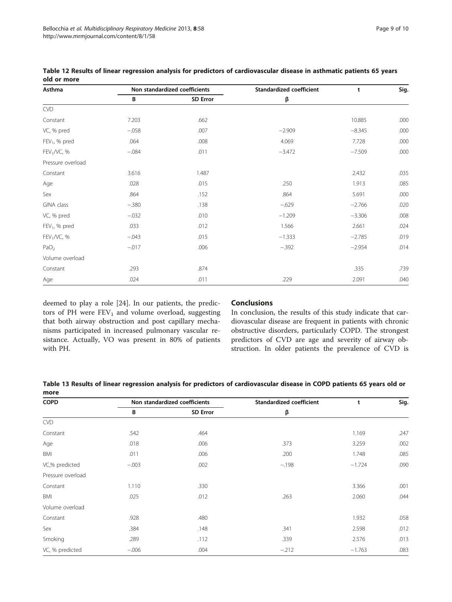| Asthma                  | Non standardized coefficients |                 | Standardized coefficient | t        | Sig. |
|-------------------------|-------------------------------|-----------------|--------------------------|----------|------|
|                         | В                             | <b>SD Error</b> | β                        |          |      |
| <b>CVD</b>              |                               |                 |                          |          |      |
| Constant                | 7.203                         | .662            |                          | 10.885   | .000 |
| VC, % pred              | $-.058$                       | .007            | $-2.909$                 | $-8.345$ | .000 |
| $FEV1$ , % pred         | .064                          | .008            | 4.069                    | 7.728    | .000 |
| $FEV1/VC$ , %           | $-.084$                       | .011            | $-3.472$                 | $-7.509$ | .000 |
| Pressure overload       |                               |                 |                          |          |      |
| Constant                | 3.616                         | 1.487           |                          | 2.432    | .035 |
| Age                     | .028                          | .015            | .250                     | 1.913    | .085 |
| Sex                     | .864                          | .152            | .864                     | 5.691    | .000 |
| GINA class              | $-.380$                       | .138            | $-.629$                  | $-2.766$ | .020 |
| VC, % pred              | $-.032$                       | .010            | $-1.209$                 | $-3.306$ | .008 |
| $FEV1$ , % pred         | .033                          | .012            | 1.566                    | 2.661    | .024 |
| FEV <sub>1</sub> /VC, % | $-.043$                       | .015            | $-1.333$                 | $-2.785$ | .019 |
| PaO <sub>2</sub>        | $-.017$                       | .006            | $-.392$                  | $-2.954$ | .014 |
| Volume overload         |                               |                 |                          |          |      |
| Constant                | .293                          | .874            |                          | .335     | .739 |
| Age                     | .024                          | .011            | .229                     | 2.091    | .040 |

<span id="page-8-0"></span>Table 12 Results of linear regression analysis for predictors of cardiovascular disease in asthmatic patients 65 years old or more

deemed to play a role [\[24](#page-9-0)]. In our patients, the predictors of PH were  $FEV_1$  and volume overload, suggesting that both airway obstruction and post capillary mechanisms participated in increased pulmonary vascular resistance. Actually, VO was present in 80% of patients with PH.

## **Conclusions**

In conclusion, the results of this study indicate that cardiovascular disease are frequent in patients with chronic obstructive disorders, particularly COPD. The strongest predictors of CVD are age and severity of airway obstruction. In older patients the prevalence of CVD is

Table 13 Results of linear regression analysis for predictors of cardiovascular disease in COPD patients 65 years old or more

| <b>COPD</b>       | Non standardized coefficients |                 | Standardized coefficient | t        | Sig. |
|-------------------|-------------------------------|-----------------|--------------------------|----------|------|
|                   | В                             | <b>SD Error</b> | β                        |          |      |
| <b>CVD</b>        |                               |                 |                          |          |      |
| Constant          | .542                          | .464            |                          | 1.169    | .247 |
| Age               | .018                          | .006            | .373                     | 3.259    | .002 |
| BMI               | .011                          | .006            | .200                     | 1.748    | .085 |
| VC,% predicted    | $-.003$                       | .002            | $-.198$                  | $-1.724$ | .090 |
| Pressure overload |                               |                 |                          |          |      |
| Constant          | 1.110                         | .330            |                          | 3.366    | .001 |
| BMI               | .025                          | .012            | .263                     | 2.060    | .044 |
| Volume overload   |                               |                 |                          |          |      |
| Constant          | .928                          | .480            |                          | 1.932    | .058 |
| Sex               | .384                          | .148            | .341                     | 2.598    | .012 |
| Smoking           | .289                          | .112            | .339                     | 2.576    | .013 |
| VC, % predicted   | $-.006$                       | .004            | $-.212$                  | $-1.763$ | .083 |